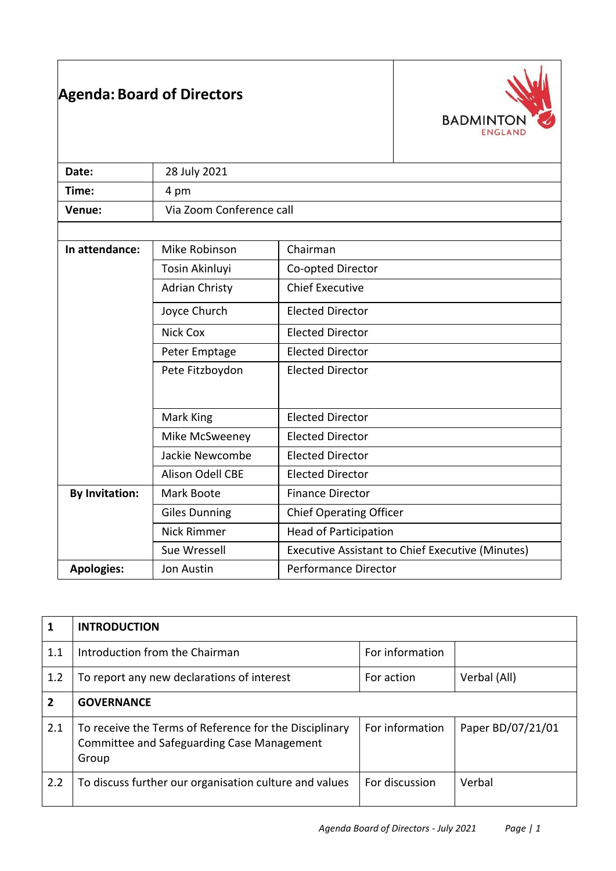|                       | <b>Agenda: Board of Directors</b> | <b>BADMINTO</b><br><b>ENGLAND</b>                |
|-----------------------|-----------------------------------|--------------------------------------------------|
| Date:                 | 28 July 2021                      |                                                  |
| Time:                 | 4 pm                              |                                                  |
| Venue:                | Via Zoom Conference call          |                                                  |
|                       |                                   |                                                  |
| In attendance:        | Mike Robinson                     | Chairman                                         |
|                       | Tosin Akinluyi                    | Co-opted Director                                |
|                       | <b>Adrian Christy</b>             | <b>Chief Executive</b>                           |
|                       | Joyce Church                      | <b>Elected Director</b>                          |
|                       | <b>Nick Cox</b>                   | <b>Elected Director</b>                          |
|                       | Peter Emptage                     | <b>Elected Director</b>                          |
|                       | Pete Fitzboydon                   | <b>Elected Director</b>                          |
|                       | Mark King                         | <b>Elected Director</b>                          |
|                       | Mike McSweeney                    | <b>Elected Director</b>                          |
|                       | Jackie Newcombe                   | <b>Elected Director</b>                          |
|                       | Alison Odell CBE                  | <b>Elected Director</b>                          |
| <b>By Invitation:</b> | Mark Boote                        | <b>Finance Director</b>                          |
|                       | <b>Giles Dunning</b>              | <b>Chief Operating Officer</b>                   |
|                       | <b>Nick Rimmer</b>                | <b>Head of Participation</b>                     |
|                       | Sue Wressell                      | Executive Assistant to Chief Executive (Minutes) |
| <b>Apologies:</b>     | Jon Austin                        | <b>Performance Director</b>                      |

| 1              | <b>INTRODUCTION</b>                                                                                           |                 |                   |  |  |
|----------------|---------------------------------------------------------------------------------------------------------------|-----------------|-------------------|--|--|
| 1.1            | Introduction from the Chairman                                                                                | For information |                   |  |  |
| 1.2            | To report any new declarations of interest                                                                    | For action      | Verbal (All)      |  |  |
| $\overline{2}$ | <b>GOVERNANCE</b>                                                                                             |                 |                   |  |  |
| 2.1            | To receive the Terms of Reference for the Disciplinary<br>Committee and Safeguarding Case Management<br>Group | For information | Paper BD/07/21/01 |  |  |
| 2.2            | To discuss further our organisation culture and values                                                        | For discussion  | Verbal            |  |  |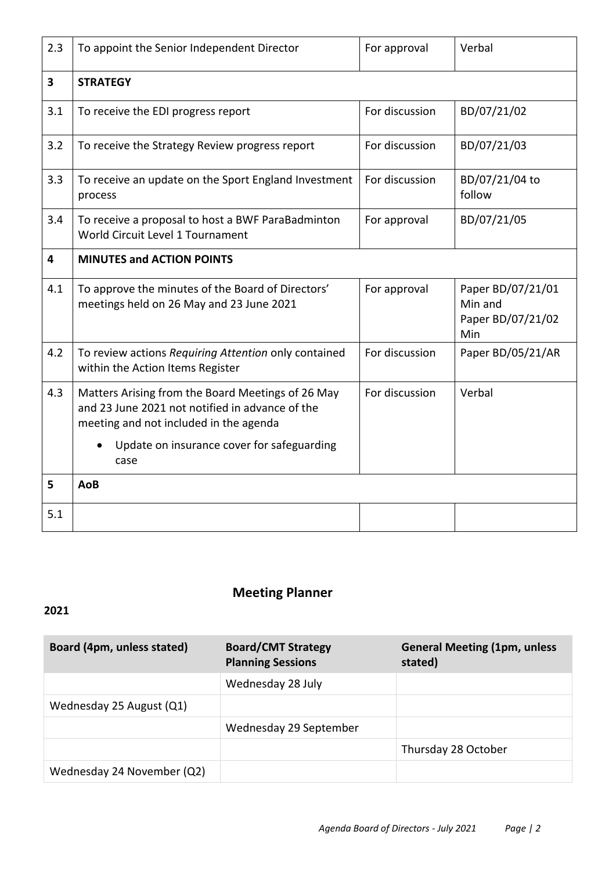| 2.3                     | To appoint the Senior Independent Director                                                                                                                                                           | For approval   | Verbal                                                   |  |
|-------------------------|------------------------------------------------------------------------------------------------------------------------------------------------------------------------------------------------------|----------------|----------------------------------------------------------|--|
| $\overline{\mathbf{3}}$ | <b>STRATEGY</b>                                                                                                                                                                                      |                |                                                          |  |
| 3.1                     | To receive the EDI progress report                                                                                                                                                                   | For discussion | BD/07/21/02                                              |  |
| 3.2                     | To receive the Strategy Review progress report                                                                                                                                                       | For discussion | BD/07/21/03                                              |  |
| 3.3                     | To receive an update on the Sport England Investment<br>process                                                                                                                                      | For discussion | BD/07/21/04 to<br>follow                                 |  |
| 3.4                     | To receive a proposal to host a BWF ParaBadminton<br>World Circuit Level 1 Tournament                                                                                                                | For approval   | BD/07/21/05                                              |  |
| 4                       | <b>MINUTES and ACTION POINTS</b>                                                                                                                                                                     |                |                                                          |  |
| 4.1                     | To approve the minutes of the Board of Directors'<br>meetings held on 26 May and 23 June 2021                                                                                                        | For approval   | Paper BD/07/21/01<br>Min and<br>Paper BD/07/21/02<br>Min |  |
| 4.2                     | To review actions Requiring Attention only contained<br>within the Action Items Register                                                                                                             | For discussion | Paper BD/05/21/AR                                        |  |
| 4.3                     | Matters Arising from the Board Meetings of 26 May<br>and 23 June 2021 not notified in advance of the<br>meeting and not included in the agenda<br>Update on insurance cover for safeguarding<br>case | For discussion | Verbal                                                   |  |
| 5                       | <b>AoB</b>                                                                                                                                                                                           |                |                                                          |  |
| 5.1                     |                                                                                                                                                                                                      |                |                                                          |  |

## **Meeting Planner**

## **2021**

| Board (4pm, unless stated) | <b>Board/CMT Strategy</b><br><b>Planning Sessions</b> | <b>General Meeting (1pm, unless</b><br>stated) |
|----------------------------|-------------------------------------------------------|------------------------------------------------|
|                            | Wednesday 28 July                                     |                                                |
| Wednesday 25 August (Q1)   |                                                       |                                                |
|                            | Wednesday 29 September                                |                                                |
|                            |                                                       | Thursday 28 October                            |
| Wednesday 24 November (Q2) |                                                       |                                                |